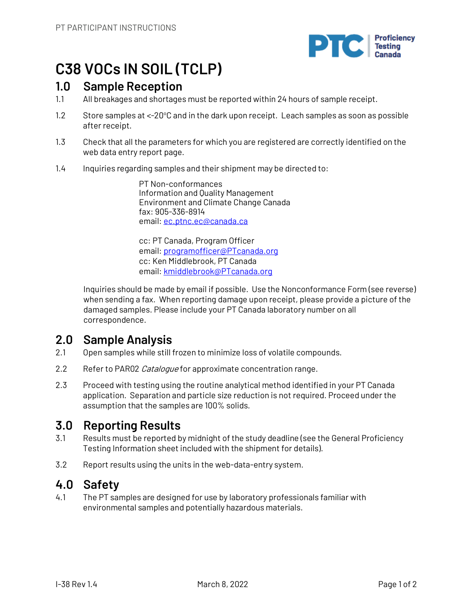

# **C38 VOCs IN SOIL (TCLP)**

## **1.0 Sample Reception**

- 1.1 All breakages and shortages must be reported within 24 hours of sample receipt.
- 1.2 Store samples at <-20°C and in the dark upon receipt. Leach samples as soon as possible after receipt.
- 1.3 Check that all the parameters for which you are registered are correctly identified on the web data entry report page.
- 1.4 Inquiries regarding samples and their shipment may be directed to:

PT Non-conformances Information and Quality Management Environment and Climate Change Canada fax: 905-336-8914 email: ec.ptnc.ec@canada.ca

cc: PT Canada, Program Officer email: programofficer@PTcanada.org cc: Ken Middlebrook, PT Canada email: kmiddlebrook@PTcanada.org

Inquiries should be made by email if possible. Use the Nonconformance Form (see reverse) when sending a fax. When reporting damage upon receipt, please provide a picture of the damaged samples. Please include your PT Canada laboratory number on all correspondence.

# **2.0 Sample Analysis**

- 2.1 Open samples while still frozen to minimize loss of volatile compounds.
- 2.2 Refer to PAR02 Catalogue for approximate concentration range.
- 2.3 Proceed with testing using the routine analytical method identified in your PT Canada application. Separation and particle size reduction is not required. Proceed under the assumption that the samples are 100% solids.

## **3.0 Reporting Results**

- 3.1 Results must be reported by midnight of the study deadline (see the General Proficiency Testing Information sheet included with the shipment for details).
- 3.2 Report results using the units in the web-data-entry system.

## **4.0 Safety**

4.1 The PT samples are designed for use by laboratory professionals familiar with environmental samples and potentially hazardous materials.